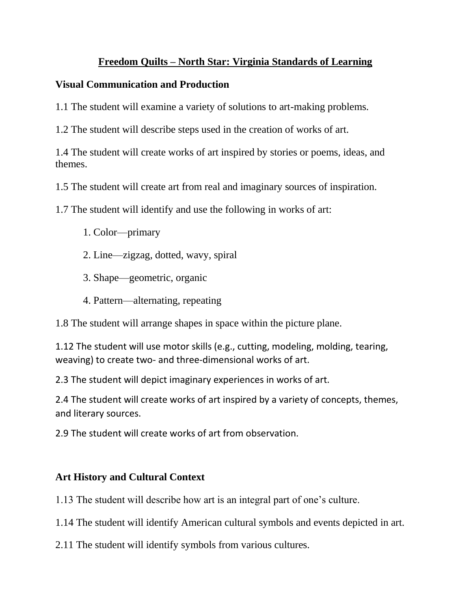### **Freedom Quilts – North Star: Virginia Standards of Learning**

#### **Visual Communication and Production**

1.1 The student will examine a variety of solutions to art-making problems.

1.2 The student will describe steps used in the creation of works of art.

1.4 The student will create works of art inspired by stories or poems, ideas, and themes.

1.5 The student will create art from real and imaginary sources of inspiration.

1.7 The student will identify and use the following in works of art:

- 1. Color—primary
- 2. Line—zigzag, dotted, wavy, spiral
- 3. Shape—geometric, organic
- 4. Pattern—alternating, repeating

1.8 The student will arrange shapes in space within the picture plane.

1.12 The student will use motor skills (e.g., cutting, modeling, molding, tearing, weaving) to create two- and three-dimensional works of art.

2.3 The student will depict imaginary experiences in works of art.

2.4 The student will create works of art inspired by a variety of concepts, themes, and literary sources.

2.9 The student will create works of art from observation.

# **Art History and Cultural Context**

1.13 The student will describe how art is an integral part of one's culture.

1.14 The student will identify American cultural symbols and events depicted in art.

2.11 The student will identify symbols from various cultures.